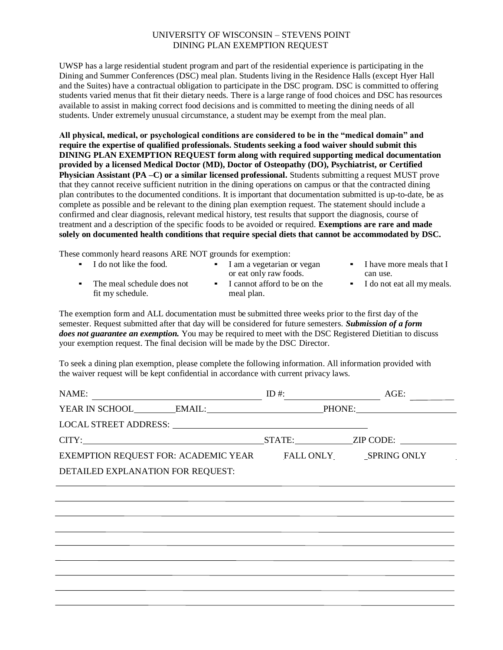## UNIVERSITY OF WISCONSIN – STEVENS POINT DINING PLAN EXEMPTION REQUEST

UWSP has a large residential student program and part of the residential experience is participating in the Dining and Summer Conferences (DSC) meal plan. Students living in the Residence Halls (except Hyer Hall and the Suites) have a contractual obligation to participate in the DSC program. DSC is committed to offering students varied menus that fit their dietary needs. There is a large range of food choices and DSC has resources available to assist in making correct food decisions and is committed to meeting the dining needs of all students. Under extremely unusual circumstance, a student may be exempt from the meal plan.

**All physical, medical, or psychological conditions are considered to be in the "medical domain" and require the expertise of qualified professionals. Students seeking a food waiver should submit this DINING PLAN EXEMPTION REQUEST form along with required supporting medical documentation provided by a licensed Medical Doctor (MD), Doctor of Osteopathy (DO), Psychiatrist, or Certified Physician Assistant (PA –C) or a similar licensed professional.** Students submitting a request MUST prove that they cannot receive sufficient nutrition in the dining operations on campus or that the contracted dining plan contributes to the documented conditions. It is important that documentation submitted is up-to-date, be as complete as possible and be relevant to the dining plan exemption request. The statement should include a confirmed and clear diagnosis, relevant medical history, test results that support the diagnosis, course of treatment and a description of the specific foods to be avoided or required. **Exemptions are rare and made solely on documented health conditions that require special diets that cannot be accommodated by DSC.**

These commonly heard reasons ARE NOT grounds for exemption:

| $\blacksquare$ I do not like the food.         | I am a vegetarian or vegan<br>or eat only raw foods. | • I have more meals that I<br>can use. |
|------------------------------------------------|------------------------------------------------------|----------------------------------------|
| The meal schedule does not<br>fit my schedule. | I cannot afford to be on the<br>meal plan.           | • I do not eat all my meals.           |

The exemption form and ALL documentation must be submitted three weeks prior to the first day of the semester. Request submitted after that day will be considered for future semesters. *Submission of a form does not guarantee an exemption.* You may be required to meet with the DSC Registered Dietitian to discuss your exemption request. The final decision will be made by the DSC Director.

To seek a dining plan exemption, please complete the following information. All information provided with the waiver request will be kept confidential in accordance with current privacy laws.

| NAME:                                                      | ID #: $\qquad \qquad$ | AGE:             |  |  |  |
|------------------------------------------------------------|-----------------------|------------------|--|--|--|
| YEAR IN SCHOOL EMAIL: PHONE:                               |                       |                  |  |  |  |
|                                                            |                       |                  |  |  |  |
| CITY:                                                      |                       | STATE: ZIP CODE: |  |  |  |
| EXEMPTION REQUEST FOR: ACADEMIC YEAR FALL ONLY SPRING ONLY |                       |                  |  |  |  |
| DETAILED EXPLANATION FOR REQUEST:                          |                       |                  |  |  |  |
|                                                            |                       |                  |  |  |  |
|                                                            |                       |                  |  |  |  |
|                                                            |                       |                  |  |  |  |
|                                                            |                       |                  |  |  |  |
|                                                            |                       |                  |  |  |  |
|                                                            |                       |                  |  |  |  |
|                                                            |                       |                  |  |  |  |
|                                                            |                       |                  |  |  |  |